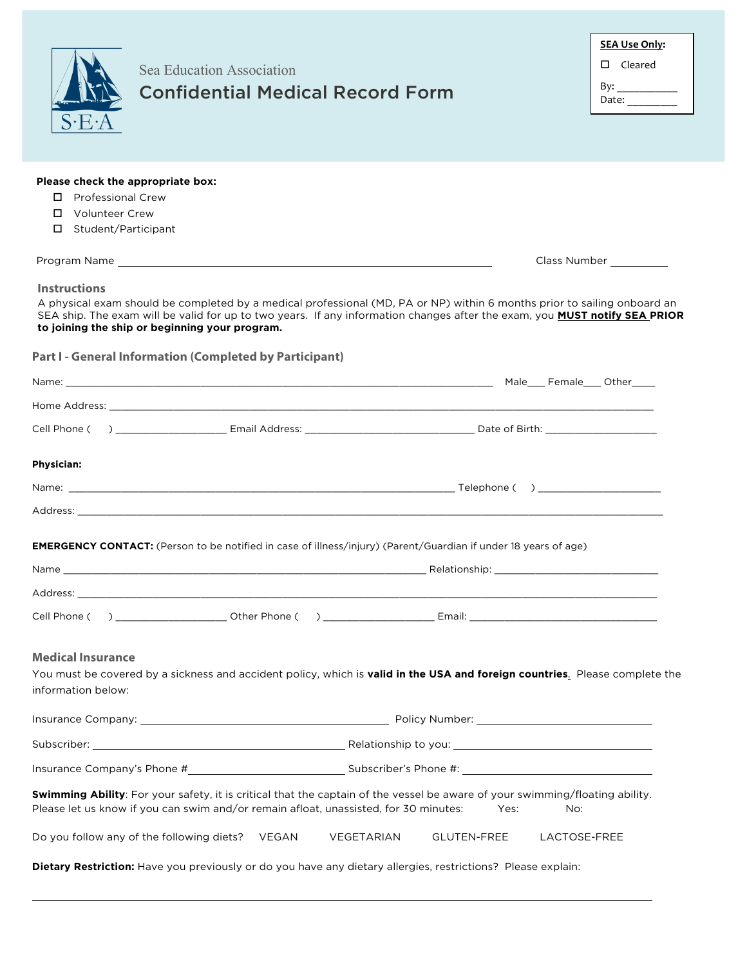|                                                                                                                                                                                                                                                                                                                                 | Sea Education Association<br><b>Confidential Medical Record Form</b>                                                                                                                                                                | <b>SEA Use Only:</b><br>$\square$ Cleared<br>Date: $\frac{1}{\sqrt{1-\frac{1}{2}}\cdot\frac{1}{2}}$ |  |  |  |  |  |
|---------------------------------------------------------------------------------------------------------------------------------------------------------------------------------------------------------------------------------------------------------------------------------------------------------------------------------|-------------------------------------------------------------------------------------------------------------------------------------------------------------------------------------------------------------------------------------|-----------------------------------------------------------------------------------------------------|--|--|--|--|--|
| Please check the appropriate box:<br><b>Professional Crew</b><br>П.<br><b>Volunteer Crew</b><br>П.<br>Student/Participant<br>0.                                                                                                                                                                                                 |                                                                                                                                                                                                                                     |                                                                                                     |  |  |  |  |  |
|                                                                                                                                                                                                                                                                                                                                 |                                                                                                                                                                                                                                     | Class Number                                                                                        |  |  |  |  |  |
| <b>Instructions</b><br>A physical exam should be completed by a medical professional (MD, PA or NP) within 6 months prior to sailing onboard an<br>SEA ship. The exam will be valid for up to two years. If any information changes after the exam, you MUST notify SEA PRIOR<br>to joining the ship or beginning your program. |                                                                                                                                                                                                                                     |                                                                                                     |  |  |  |  |  |
|                                                                                                                                                                                                                                                                                                                                 | <b>Part I - General Information (Completed by Participant)</b>                                                                                                                                                                      |                                                                                                     |  |  |  |  |  |
|                                                                                                                                                                                                                                                                                                                                 |                                                                                                                                                                                                                                     |                                                                                                     |  |  |  |  |  |
|                                                                                                                                                                                                                                                                                                                                 |                                                                                                                                                                                                                                     |                                                                                                     |  |  |  |  |  |
|                                                                                                                                                                                                                                                                                                                                 |                                                                                                                                                                                                                                     |                                                                                                     |  |  |  |  |  |
| Physician:                                                                                                                                                                                                                                                                                                                      |                                                                                                                                                                                                                                     |                                                                                                     |  |  |  |  |  |
|                                                                                                                                                                                                                                                                                                                                 |                                                                                                                                                                                                                                     |                                                                                                     |  |  |  |  |  |
|                                                                                                                                                                                                                                                                                                                                 | Address: Address: Address: Address: Address: Address: Address: Address: Address: Address: Address: A                                                                                                                                |                                                                                                     |  |  |  |  |  |
| Name                                                                                                                                                                                                                                                                                                                            | <b>EMERGENCY CONTACT:</b> (Person to be notified in case of illness/injury) (Parent/Guardian if under 18 years of age)<br>Relationship:                                                                                             |                                                                                                     |  |  |  |  |  |
|                                                                                                                                                                                                                                                                                                                                 |                                                                                                                                                                                                                                     |                                                                                                     |  |  |  |  |  |
| <b>Medical Insurance</b><br>information below:                                                                                                                                                                                                                                                                                  | You must be covered by a sickness and accident policy, which is valid in the USA and foreign countries. Please complete the                                                                                                         |                                                                                                     |  |  |  |  |  |
|                                                                                                                                                                                                                                                                                                                                 |                                                                                                                                                                                                                                     |                                                                                                     |  |  |  |  |  |
|                                                                                                                                                                                                                                                                                                                                 |                                                                                                                                                                                                                                     |                                                                                                     |  |  |  |  |  |
|                                                                                                                                                                                                                                                                                                                                 |                                                                                                                                                                                                                                     |                                                                                                     |  |  |  |  |  |
|                                                                                                                                                                                                                                                                                                                                 | Swimming Ability: For your safety, it is critical that the captain of the vessel be aware of your swimming/floating ability.<br>Please let us know if you can swim and/or remain afloat, unassisted, for 30 minutes:<br>Yes:<br>No: |                                                                                                     |  |  |  |  |  |
|                                                                                                                                                                                                                                                                                                                                 | Do you follow any of the following diets?    VEGAN<br>VEGETARIAN<br>GLUTEN-FREE<br>LACTOSE-FREE                                                                                                                                     |                                                                                                     |  |  |  |  |  |
|                                                                                                                                                                                                                                                                                                                                 | Dietary Restriction: Have you previously or do you have any dietary allergies, restrictions? Please explain:                                                                                                                        |                                                                                                     |  |  |  |  |  |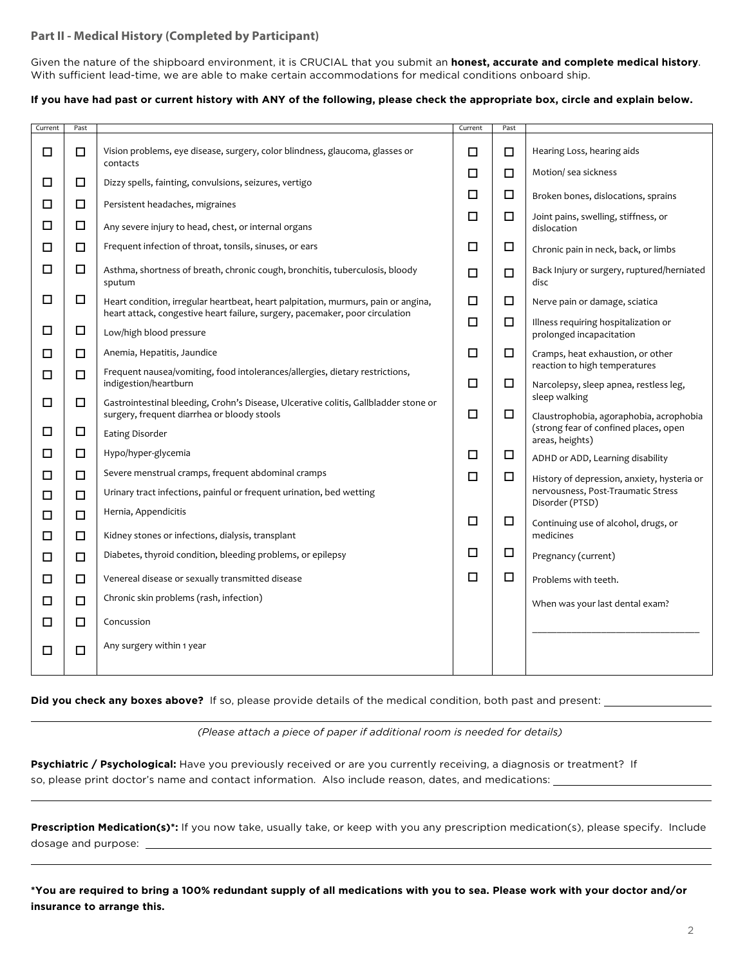# **Part II - Medical History (Completed by Participant)**

Given the nature of the shipboard environment, it is CRUCIAL that you submit an **honest, accurate and complete medical history**. With sufficient lead-time, we are able to make certain accommodations for medical conditions onboard ship.

### **If you have had past or current history with ANY of the following, please check the appropriate box, circle and explain below.**

| Current | Past   |                                                                                                                                                                   | Current     | Past   |                                                                                  |
|---------|--------|-------------------------------------------------------------------------------------------------------------------------------------------------------------------|-------------|--------|----------------------------------------------------------------------------------|
| □       | $\Box$ | Vision problems, eye disease, surgery, color blindness, glaucoma, glasses or<br>contacts                                                                          | □           | $\Box$ | Hearing Loss, hearing aids                                                       |
| □       | □      | Dizzy spells, fainting, convulsions, seizures, vertigo                                                                                                            |             | $\Box$ | Motion/ sea sickness                                                             |
| □       | $\Box$ | Persistent headaches, migraines                                                                                                                                   |             | $\Box$ | Broken bones, dislocations, sprains                                              |
| □       | □      | Any severe injury to head, chest, or internal organs                                                                                                              |             | $\Box$ | Joint pains, swelling, stiffness, or<br>dislocation                              |
| □       | $\Box$ | Frequent infection of throat, tonsils, sinuses, or ears                                                                                                           | $\Box$      | $\Box$ | Chronic pain in neck, back, or limbs                                             |
| □       | □      | Asthma, shortness of breath, chronic cough, bronchitis, tuberculosis, bloody<br>sputum                                                                            |             | $\Box$ | Back Injury or surgery, ruptured/herniated<br>disc                               |
| □       | □      | Heart condition, irregular heartbeat, heart palpitation, murmurs, pain or angina,<br>heart attack, congestive heart failure, surgery, pacemaker, poor circulation | □<br>$\Box$ |        | Nerve pain or damage, sciatica                                                   |
| □       | □      | Low/high blood pressure                                                                                                                                           | □           | □      | Illness requiring hospitalization or<br>prolonged incapacitation                 |
| □       | □      | Anemia, Hepatitis, Jaundice                                                                                                                                       | □           | $\Box$ | Cramps, heat exhaustion, or other                                                |
| □       | $\Box$ | Frequent nausea/vomiting, food intolerances/allergies, dietary restrictions,<br>indigestion/heartburn                                                             | □           | $\Box$ | reaction to high temperatures<br>Narcolepsy, sleep apnea, restless leg,          |
| □       | □      | Gastrointestinal bleeding, Crohn's Disease, Ulcerative colitis, Gallbladder stone or                                                                              |             |        | sleep walking                                                                    |
|         |        | surgery, frequent diarrhea or bloody stools                                                                                                                       | □           | $\Box$ | Claustrophobia, agoraphobia, acrophobia<br>(strong fear of confined places, open |
| □       | □      | <b>Eating Disorder</b>                                                                                                                                            |             |        | areas, heights)                                                                  |
| □       | $\Box$ | Hypo/hyper-glycemia                                                                                                                                               | □           | $\Box$ | ADHD or ADD, Learning disability                                                 |
| □       | $\Box$ | Severe menstrual cramps, frequent abdominal cramps                                                                                                                | □           | □      | History of depression, anxiety, hysteria or                                      |
| □       | $\Box$ | Urinary tract infections, painful or frequent urination, bed wetting                                                                                              |             |        | nervousness, Post-Traumatic Stress<br>Disorder (PTSD)                            |
| □       | $\Box$ | Hernia, Appendicitis                                                                                                                                              | $\Box$      | $\Box$ | Continuing use of alcohol, drugs, or                                             |
| □       | $\Box$ | Kidney stones or infections, dialysis, transplant                                                                                                                 |             |        | medicines                                                                        |
| □       | $\Box$ | Diabetes, thyroid condition, bleeding problems, or epilepsy                                                                                                       | $\Box$      | $\Box$ | Pregnancy (current)                                                              |
| □       | □      | Venereal disease or sexually transmitted disease                                                                                                                  | □           | $\Box$ | Problems with teeth.                                                             |
| □       | $\Box$ | Chronic skin problems (rash, infection)                                                                                                                           |             |        | When was your last dental exam?                                                  |
| □       | □      | Concussion                                                                                                                                                        |             |        |                                                                                  |
| □       | □      | Any surgery within 1 year                                                                                                                                         |             |        |                                                                                  |

#### **Did you check any boxes above?** If so, please provide details of the medical condition, both past and present:

*(Please attach a piece of paper if additional room is needed for details)*

**Psychiatric / Psychological:** Have you previously received or are you currently receiving, a diagnosis or treatment? If so, please print doctor's name and contact information. Also include reason, dates, and medications:

**Prescription Medication(s)\*:** If you now take, usually take, or keep with you any prescription medication(s), please specify. Include dosage and purpose:

**\*You are required to bring a 100% redundant supply of all medications with you to sea. Please work with your doctor and/or insurance to arrange this.**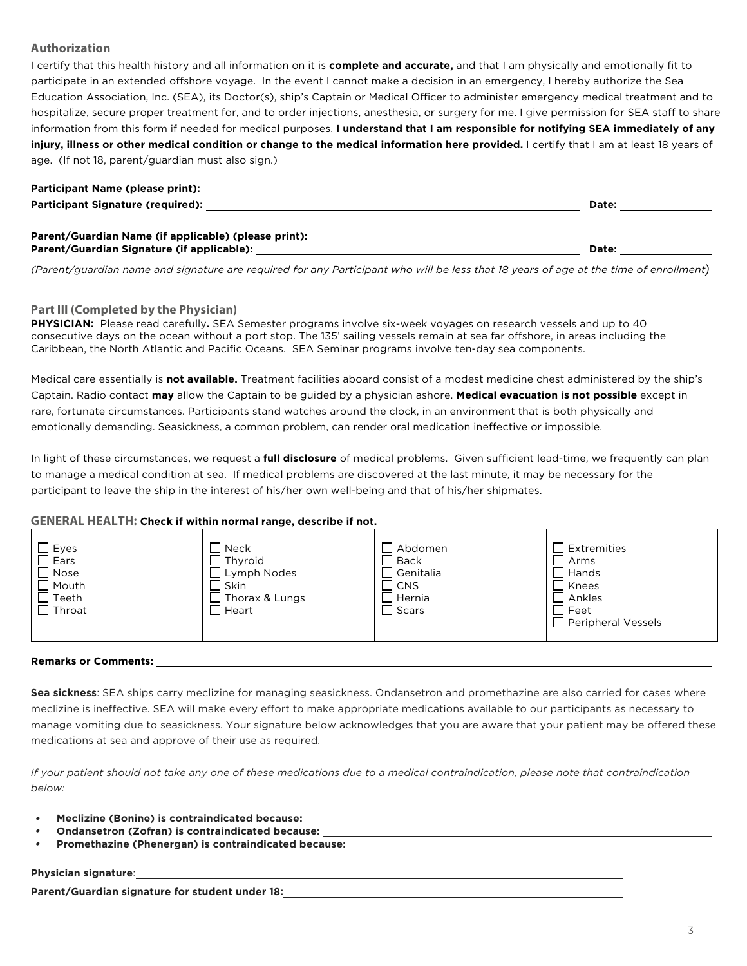# **Authorization**

I certify that this health history and all information on it is **complete and accurate,** and that I am physically and emotionally fit to participate in an extended offshore voyage. In the event I cannot make a decision in an emergency, I hereby authorize the Sea Education Association, Inc. (SEA), its Doctor(s), ship's Captain or Medical Officer to administer emergency medical treatment and to hospitalize, secure proper treatment for, and to order injections, anesthesia, or surgery for me. I give permission for SEA staff to share information from this form if needed for medical purposes. **I understand that I am responsible for notifying SEA immediately of any injury, illness or other medical condition or change to the medical information here provided.** I certify that I am at least 18 years of age. (If not 18, parent/guardian must also sign.)

| Participant Name (please print):                     |       |  |
|------------------------------------------------------|-------|--|
| <b>Participant Signature (required):</b>             | Date: |  |
|                                                      |       |  |
| Parent/Guardian Name (if applicable) (please print): |       |  |
| Parent/Guardian Signature (if applicable):           | Date: |  |

*(Parent/guardian name and signature are required for any Participant who will be less that 18 years of age at the time of enrollment)*

### **Part III (Completed by the Physician)**

**PHYSICIAN:** Please read carefully**.** SEA Semester programs involve six-week voyages on research vessels and up to 40 consecutive days on the ocean without a port stop. The 135' sailing vessels remain at sea far offshore, in areas including the Caribbean, the North Atlantic and Pacific Oceans. SEA Seminar programs involve ten-day sea components.

Medical care essentially is **not available.** Treatment facilities aboard consist of a modest medicine chest administered by the ship's Captain. Radio contact **may** allow the Captain to be guided by a physician ashore. **Medical evacuation is not possible** except in rare, fortunate circumstances. Participants stand watches around the clock, in an environment that is both physically and emotionally demanding. Seasickness, a common problem, can render oral medication ineffective or impossible.

In light of these circumstances, we request a **full disclosure** of medical problems. Given sufficient lead-time, we frequently can plan to manage a medical condition at sea. If medical problems are discovered at the last minute, it may be necessary for the participant to leave the ship in the interest of his/her own well-being and that of his/her shipmates.

### **GENERAL HEALTH: Check if within normal range, describe if not.**

#### **Remarks or Comments:**

**Sea sickness**: SEA ships carry meclizine for managing seasickness. Ondansetron and promethazine are also carried for cases where meclizine is ineffective. SEA will make every effort to make appropriate medications available to our participants as necessary to manage vomiting due to seasickness. Your signature below acknowledges that you are aware that your patient may be offered these medications at sea and approve of their use as required.

*If your patient should not take any one of these medications due to a medical contraindication, please note that contraindication below:*

- •**Meclizine (Bonine) is contraindicated because:**
- •**Ondansetron (Zofran) is contraindicated because:**
- •**Promethazine (Phenergan) is contraindicated because:**

# **Physician signature**:

**Parent/Guardian signature for student under 18:**